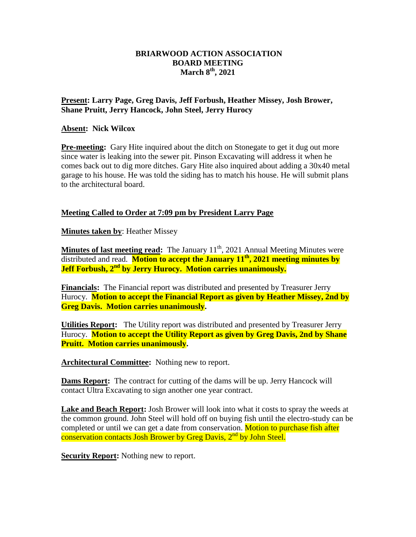## **BRIARWOOD ACTION ASSOCIATION BOARD MEETING March 8th, 2021**

## **Present: Larry Page, Greg Davis, Jeff Forbush, Heather Missey, Josh Brower, Shane Pruitt, Jerry Hancock, John Steel, Jerry Hurocy**

## **Absent: Nick Wilcox**

**Pre-meeting:** Gary Hite inquired about the ditch on Stonegate to get it dug out more since water is leaking into the sewer pit. Pinson Excavating will address it when he comes back out to dig more ditches. Gary Hite also inquired about adding a 30x40 metal garage to his house. He was told the siding has to match his house. He will submit plans to the architectural board.

## **Meeting Called to Order at 7:09 pm by President Larry Page**

**Minutes taken by**: Heather Missey

**Minutes of last meeting read:** The January 11<sup>th</sup>, 2021 Annual Meeting Minutes were distributed and read. **Motion to accept the January 11th, 2021 meeting minutes by Jeff Forbush, 2nd by Jerry Hurocy. Motion carries unanimously.**

**Financials:** The Financial report was distributed and presented by Treasurer Jerry Hurocy. **Motion to accept the Financial Report as given by Heather Missey, 2nd by Greg Davis. Motion carries unanimously.** 

**Utilities Report:** The Utility report was distributed and presented by Treasurer Jerry Hurocy. **Motion to accept the Utility Report as given by Greg Davis, 2nd by Shane Pruitt. Motion carries unanimously.** 

**Architectural Committee:** Nothing new to report.

**Dams Report:** The contract for cutting of the dams will be up. Jerry Hancock will contact Ultra Excavating to sign another one year contract.

**Lake and Beach Report:** Josh Brower will look into what it costs to spray the weeds at the common ground. John Steel will hold off on buying fish until the electro-study can be completed or until we can get a date from conservation. Motion to purchase fish after conservation contacts Josh Brower by Greg Davis, 2<sup>nd</sup> by John Steel.

**Security Report:** Nothing new to report.